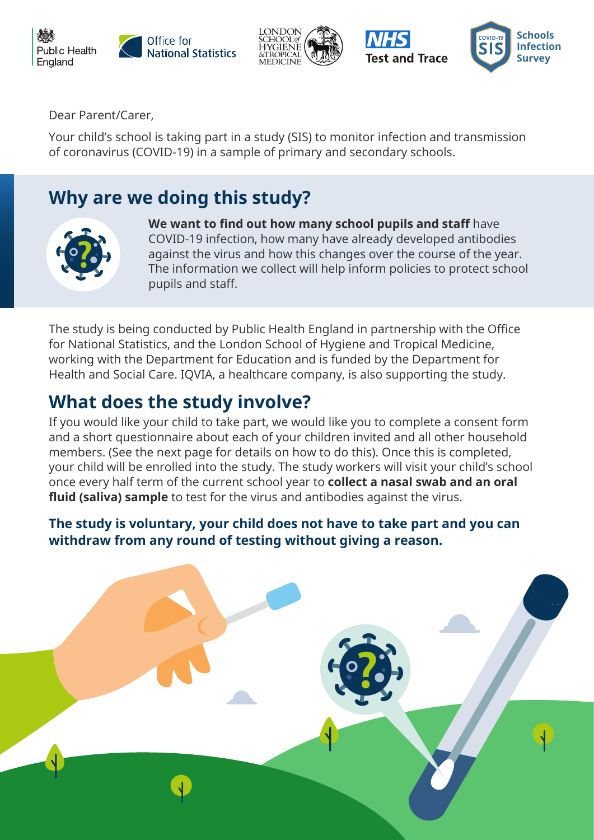







Dear Parent/Carer,

Your child's school is taking part in a study (SIS) to monitor infection and transmission of coronavirus (COVID-19) in a sample of primary and secondary schools.

## **Why are we doing this study?**



**We want to find out how many school pupils and staff** have COVID-19 infection, how many have already developed antibodies against the virus and how this changes over the course of the year. The information we collect will help inform policies to protect school pupils and staff.

The study is being conducted by Public Health England in partnership with the Office for National Statistics, and the London School of Hygiene and Tropical Medicine, working with the Department for Education and is funded by the Department for Health and Social Care. IQVIA, a healthcare company, is also supporting the study.

## **What does the study involve?**

If you would like your child to take part, we would like you to complete a consent form and a short questionnaire about each of your children invited and all other household members. (See the next page for details on how to do this). Once this is completed, your child will be enrolled into the study. The study workers will visit your child's school once every half term of the current school year to **collect a nasal swab and an oral fluid (saliva) sample** to test for the virus and antibodies against the virus.

**The study is voluntary, your child does not have to take part and you can withdraw from any round of testing without giving a reason.**